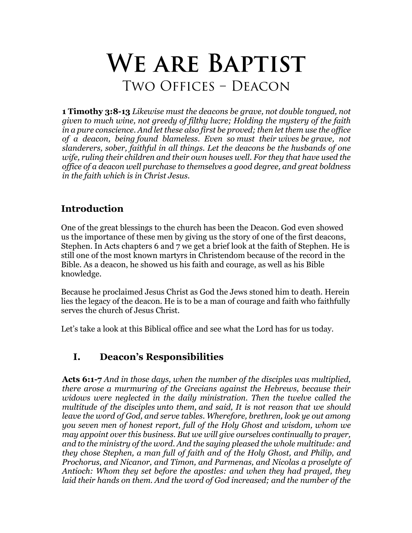# **We are Baptist** Two Offices – Deacon

**1 Timothy 3:8-13** *Likewise must the deacons be grave, not double tongued, not given to much wine, not greedy of filthy lucre; Holding the mystery of the faith in a pure conscience. And let these also first be proved; then let them use the office of a deacon, being found blameless. Even so must their wives be grave, not slanderers, sober, faithful in all things. Let the deacons be the husbands of one wife, ruling their children and their own houses well. For they that have used the office of a deacon well purchase to themselves a good degree, and great boldness in the faith which is in Christ Jesus.*

# **Introduction**

One of the great blessings to the church has been the Deacon. God even showed us the importance of these men by giving us the story of one of the first deacons, Stephen. In Acts chapters 6 and 7 we get a brief look at the faith of Stephen. He is still one of the most known martyrs in Christendom because of the record in the Bible. As a deacon, he showed us his faith and courage, as well as his Bible knowledge.

Because he proclaimed Jesus Christ as God the Jews stoned him to death. Herein lies the legacy of the deacon. He is to be a man of courage and faith who faithfully serves the church of Jesus Christ.

Let's take a look at this Biblical office and see what the Lord has for us today.

### **I. Deacon's Responsibilities**

**Acts 6:1-7** *And in those days, when the number of the disciples was multiplied, there arose a murmuring of the Grecians against the Hebrews, because their widows were neglected in the daily ministration. Then the twelve called the multitude of the disciples unto them, and said, It is not reason that we should leave the word of God, and serve tables. Wherefore, brethren, look ye out among you seven men of honest report, full of the Holy Ghost and wisdom, whom we may appoint over this business. But we will give ourselves continually to prayer, and to the ministry of the word. And the saying pleased the whole multitude: and they chose Stephen, a man full of faith and of the Holy Ghost, and Philip, and Prochorus, and Nicanor, and Timon, and Parmenas, and Nicolas a proselyte of Antioch: Whom they set before the apostles: and when they had prayed, they laid their hands on them. And the word of God increased; and the number of the*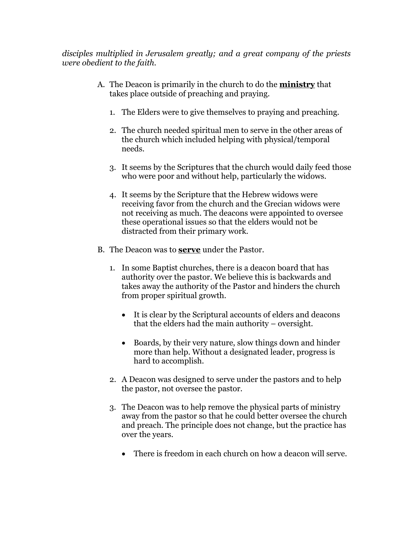*disciples multiplied in Jerusalem greatly; and a great company of the priests were obedient to the faith.*

- A. The Deacon is primarily in the church to do the **ministry** that takes place outside of preaching and praying.
	- 1. The Elders were to give themselves to praying and preaching.
	- 2. The church needed spiritual men to serve in the other areas of the church which included helping with physical/temporal needs.
	- 3. It seems by the Scriptures that the church would daily feed those who were poor and without help, particularly the widows.
	- 4. It seems by the Scripture that the Hebrew widows were receiving favor from the church and the Grecian widows were not receiving as much. The deacons were appointed to oversee these operational issues so that the elders would not be distracted from their primary work.
- B. The Deacon was to **serve** under the Pastor.
	- 1. In some Baptist churches, there is a deacon board that has authority over the pastor. We believe this is backwards and takes away the authority of the Pastor and hinders the church from proper spiritual growth.
		- It is clear by the Scriptural accounts of elders and deacons that the elders had the main authority – oversight.
		- Boards, by their very nature, slow things down and hinder more than help. Without a designated leader, progress is hard to accomplish.
	- 2. A Deacon was designed to serve under the pastors and to help the pastor, not oversee the pastor.
	- 3. The Deacon was to help remove the physical parts of ministry away from the pastor so that he could better oversee the church and preach. The principle does not change, but the practice has over the years.
		- There is freedom in each church on how a deacon will serve.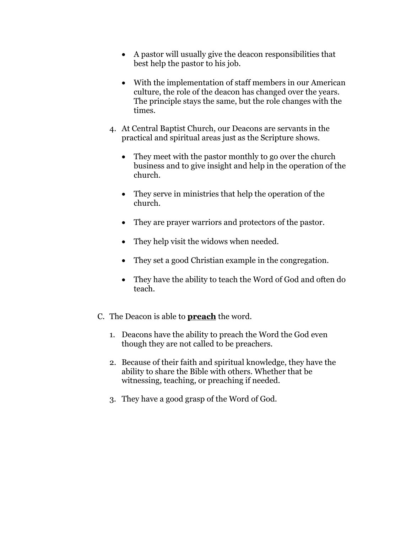- A pastor will usually give the deacon responsibilities that best help the pastor to his job.
- With the implementation of staff members in our American culture, the role of the deacon has changed over the years. The principle stays the same, but the role changes with the times.
- 4. At Central Baptist Church, our Deacons are servants in the practical and spiritual areas just as the Scripture shows.
	- They meet with the pastor monthly to go over the church business and to give insight and help in the operation of the church.
	- They serve in ministries that help the operation of the church.
	- They are prayer warriors and protectors of the pastor.
	- They help visit the widows when needed.
	- They set a good Christian example in the congregation.
	- They have the ability to teach the Word of God and often do teach.
- C. The Deacon is able to **preach** the word.
	- 1. Deacons have the ability to preach the Word the God even though they are not called to be preachers.
	- 2. Because of their faith and spiritual knowledge, they have the ability to share the Bible with others. Whether that be witnessing, teaching, or preaching if needed.
	- 3. They have a good grasp of the Word of God.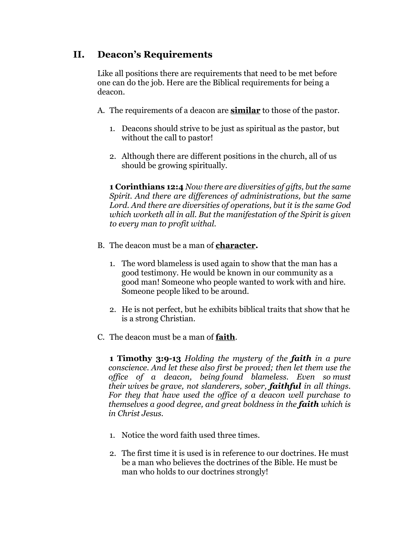### **II. Deacon's Requirements**

Like all positions there are requirements that need to be met before one can do the job. Here are the Biblical requirements for being a deacon.

- A. The requirements of a deacon are **similar** to those of the pastor.
	- 1. Deacons should strive to be just as spiritual as the pastor, but without the call to pastor!
	- 2. Although there are different positions in the church, all of us should be growing spiritually.

**1 Corinthians 12:4** *Now there are diversities of gifts, but the same Spirit. And there are differences of administrations, but the same Lord. And there are diversities of operations, but it is the same God which worketh all in all. But the manifestation of the Spirit is given to every man to profit withal.*

- B. The deacon must be a man of **character.**
	- 1. The word blameless is used again to show that the man has a good testimony. He would be known in our community as a good man! Someone who people wanted to work with and hire. Someone people liked to be around.
	- 2. He is not perfect, but he exhibits biblical traits that show that he is a strong Christian.
- C. The deacon must be a man of **faith**.

**1 Timothy 3:9-13** *Holding the mystery of the faith in a pure conscience. And let these also first be proved; then let them use the office of a deacon, being found blameless. Even so must their wives be grave, not slanderers, sober, faithful in all things. For they that have used the office of a deacon well purchase to themselves a good degree, and great boldness in the faith which is in Christ Jesus.*

- 1. Notice the word faith used three times.
- 2. The first time it is used is in reference to our doctrines. He must be a man who believes the doctrines of the Bible. He must be man who holds to our doctrines strongly!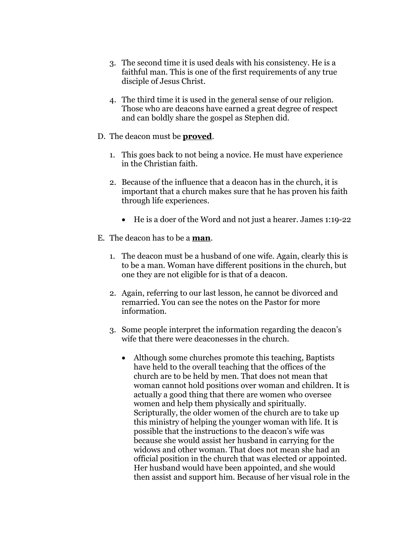- 3. The second time it is used deals with his consistency. He is a faithful man. This is one of the first requirements of any true disciple of Jesus Christ.
- 4. The third time it is used in the general sense of our religion. Those who are deacons have earned a great degree of respect and can boldly share the gospel as Stephen did.
- D. The deacon must be **proved**.
	- 1. This goes back to not being a novice. He must have experience in the Christian faith.
	- 2. Because of the influence that a deacon has in the church, it is important that a church makes sure that he has proven his faith through life experiences.
		- He is a doer of the Word and not just a hearer. James 1:19-22
- E. The deacon has to be a **man**.
	- 1. The deacon must be a husband of one wife. Again, clearly this is to be a man. Woman have different positions in the church, but one they are not eligible for is that of a deacon.
	- 2. Again, referring to our last lesson, he cannot be divorced and remarried. You can see the notes on the Pastor for more information.
	- 3. Some people interpret the information regarding the deacon's wife that there were deaconesses in the church.
		- Although some churches promote this teaching, Baptists have held to the overall teaching that the offices of the church are to be held by men. That does not mean that woman cannot hold positions over woman and children. It is actually a good thing that there are women who oversee women and help them physically and spiritually. Scripturally, the older women of the church are to take up this ministry of helping the younger woman with life. It is possible that the instructions to the deacon's wife was because she would assist her husband in carrying for the widows and other woman. That does not mean she had an official position in the church that was elected or appointed. Her husband would have been appointed, and she would then assist and support him. Because of her visual role in the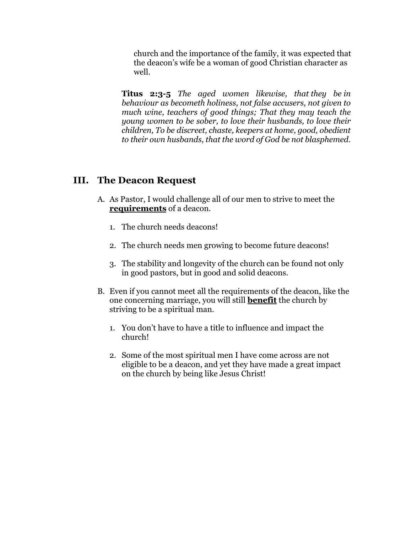church and the importance of the family, it was expected that the deacon's wife be a woman of good Christian character as well.

**Titus 2:3-5** *The aged women likewise, that they be in behaviour as becometh holiness, not false accusers, not given to much wine, teachers of good things; That they may teach the young women to be sober, to love their husbands, to love their children, To be discreet, chaste, keepers at home, good, obedient to their own husbands, that the word of God be not blasphemed.*

#### **III. The Deacon Request**

- A. As Pastor, I would challenge all of our men to strive to meet the **requirements** of a deacon.
	- 1. The church needs deacons!
	- 2. The church needs men growing to become future deacons!
	- 3. The stability and longevity of the church can be found not only in good pastors, but in good and solid deacons.
- B. Even if you cannot meet all the requirements of the deacon, like the one concerning marriage, you will still **benefit** the church by striving to be a spiritual man.
	- 1. You don't have to have a title to influence and impact the church!
	- 2. Some of the most spiritual men I have come across are not eligible to be a deacon, and yet they have made a great impact on the church by being like Jesus Christ!